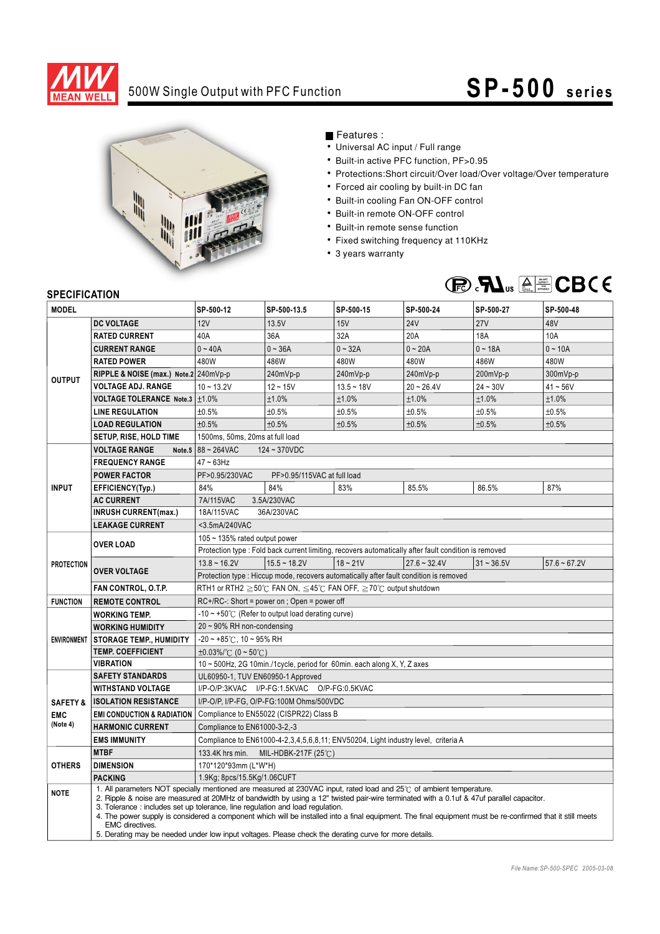

# 500W Single Output with PFC Function **SP -500** series



### Features :

- Universal AC input / Full range
- Built-in active PFC function, PF>0.95
- Protections:Short circuit/Over load/Over voltage/Over temperature
- Forced air cooling by built-in DC fan
- Built-in cooling Fan ON-OFF control
- Built-in remote ON-OFF control
- Built-in remote sense function
- Fixed switching frequency at 110KHz
- 3 years warranty



### **SPECIFICATION**

| <b>JELUIFIUAI IUN</b><br><b>MODEL</b> |                                                                                                          | SP-500-12                                                                                                                                                                                                                                                                                                                                                                                                                                                                                                                                                                                                                | SP-500-13.5    | SP-500-15    | SP-500-24      | SP-500-27    | SP-500-48      |  |
|---------------------------------------|----------------------------------------------------------------------------------------------------------|--------------------------------------------------------------------------------------------------------------------------------------------------------------------------------------------------------------------------------------------------------------------------------------------------------------------------------------------------------------------------------------------------------------------------------------------------------------------------------------------------------------------------------------------------------------------------------------------------------------------------|----------------|--------------|----------------|--------------|----------------|--|
|                                       | <b>DC VOLTAGE</b>                                                                                        | 12V                                                                                                                                                                                                                                                                                                                                                                                                                                                                                                                                                                                                                      | 13.5V          | 15V          | <b>24V</b>     | 27V          | 48V            |  |
| <b>OUTPUT</b>                         | <b>RATED CURRENT</b>                                                                                     | 40A                                                                                                                                                                                                                                                                                                                                                                                                                                                                                                                                                                                                                      | 36A            | 32A          | 20A            | <b>18A</b>   | 10A            |  |
|                                       | <b>CURRENT RANGE</b>                                                                                     | $0 - 40A$                                                                                                                                                                                                                                                                                                                                                                                                                                                                                                                                                                                                                | $0 - 36A$      | $0 - 32A$    | $0 - 20A$      | $0 - 18A$    | $0 - 10A$      |  |
|                                       | <b>RATED POWER</b>                                                                                       | 480W                                                                                                                                                                                                                                                                                                                                                                                                                                                                                                                                                                                                                     | 486W           | 480W         | 480W           | 486W         | 480W           |  |
|                                       | RIPPLE & NOISE (max.) Note.2 240mVp-p                                                                    |                                                                                                                                                                                                                                                                                                                                                                                                                                                                                                                                                                                                                          | 240mVp-p       | 240mVp-p     | 240mVp-p       | 200mVp-p     | 300mVp-p       |  |
|                                       | <b>VOLTAGE ADJ. RANGE</b>                                                                                | $10 - 13.2V$                                                                                                                                                                                                                                                                                                                                                                                                                                                                                                                                                                                                             | $12 - 15V$     | $13.5 - 18V$ | $20 - 26.4V$   | $24 - 30V$   | $41 - 56V$     |  |
|                                       | VOLTAGE TOLERANCE Note.3   ±1.0%                                                                         |                                                                                                                                                                                                                                                                                                                                                                                                                                                                                                                                                                                                                          | ±1.0%          | ±1.0%        | ±1.0%          | ±1.0%        | ±1.0%          |  |
|                                       | <b>LINE REGULATION</b>                                                                                   | ±0.5%                                                                                                                                                                                                                                                                                                                                                                                                                                                                                                                                                                                                                    | ±0.5%          | $\pm 0.5\%$  | ±0.5%          | ±0.5%        | ±0.5%          |  |
|                                       | <b>LOAD REGULATION</b>                                                                                   | ±0.5%                                                                                                                                                                                                                                                                                                                                                                                                                                                                                                                                                                                                                    | ±0.5%          | ±0.5%        | ±0.5%          | ±0.5%        | ±0.5%          |  |
|                                       | <b>SETUP, RISE, HOLD TIME</b>                                                                            | 1500ms, 50ms, 20ms at full load                                                                                                                                                                                                                                                                                                                                                                                                                                                                                                                                                                                          |                |              |                |              |                |  |
|                                       | Note.5 $88 - 264$ VAC<br><b>VOLTAGE RANGE</b><br>$124 - 370VDC$                                          |                                                                                                                                                                                                                                                                                                                                                                                                                                                                                                                                                                                                                          |                |              |                |              |                |  |
| <b>INPUT</b>                          | <b>FREQUENCY RANGE</b>                                                                                   | $47 \sim 63$ Hz                                                                                                                                                                                                                                                                                                                                                                                                                                                                                                                                                                                                          |                |              |                |              |                |  |
|                                       | <b>POWER FACTOR</b>                                                                                      | PF>0.95/230VAC<br>PF>0.95/115VAC at full load                                                                                                                                                                                                                                                                                                                                                                                                                                                                                                                                                                            |                |              |                |              |                |  |
|                                       | EFFICIENCY(Typ.)                                                                                         | 84%                                                                                                                                                                                                                                                                                                                                                                                                                                                                                                                                                                                                                      | 84%            | 83%          | 85.5%          | 86.5%        | 87%            |  |
|                                       | <b>AC CURRENT</b>                                                                                        | 7A/115VAC<br>3.5A/230VAC                                                                                                                                                                                                                                                                                                                                                                                                                                                                                                                                                                                                 |                |              |                |              |                |  |
|                                       | <b>INRUSH CURRENT(max.)</b>                                                                              | 18A/115VAC<br>36A/230VAC                                                                                                                                                                                                                                                                                                                                                                                                                                                                                                                                                                                                 |                |              |                |              |                |  |
|                                       | <b>LEAKAGE CURRENT</b>                                                                                   | <3.5mA/240VAC                                                                                                                                                                                                                                                                                                                                                                                                                                                                                                                                                                                                            |                |              |                |              |                |  |
| <b>PROTECTION</b>                     | <b>OVER LOAD</b>                                                                                         | 105 ~ 135% rated output power                                                                                                                                                                                                                                                                                                                                                                                                                                                                                                                                                                                            |                |              |                |              |                |  |
|                                       |                                                                                                          | Protection type : Fold back current limiting, recovers automatically after fault condition is removed                                                                                                                                                                                                                                                                                                                                                                                                                                                                                                                    |                |              |                |              |                |  |
|                                       | <b>OVER VOLTAGE</b>                                                                                      | $13.8 \sim 16.2V$                                                                                                                                                                                                                                                                                                                                                                                                                                                                                                                                                                                                        | $15.5 - 18.2V$ | $18 - 21V$   | $27.6 - 32.4V$ | $31 - 36.5V$ | $57.6 - 67.2V$ |  |
|                                       |                                                                                                          | Protection type : Hiccup mode, recovers automatically after fault condition is removed                                                                                                                                                                                                                                                                                                                                                                                                                                                                                                                                   |                |              |                |              |                |  |
|                                       | RTH1 or RTH2 $\geq$ 50°C FAN ON, $\leq$ 45°C FAN OFF, $\geq$ 70°C output shutdown<br>FAN CONTROL, O.T.P. |                                                                                                                                                                                                                                                                                                                                                                                                                                                                                                                                                                                                                          |                |              |                |              |                |  |
| <b>FUNCTION</b>                       | <b>REMOTE CONTROL</b>                                                                                    | $RC+/RC-$ : Short = power on ; Open = power off                                                                                                                                                                                                                                                                                                                                                                                                                                                                                                                                                                          |                |              |                |              |                |  |
|                                       | <b>WORKING TEMP.</b>                                                                                     | $-10 \sim +50^{\circ}$ (Refer to output load derating curve)                                                                                                                                                                                                                                                                                                                                                                                                                                                                                                                                                             |                |              |                |              |                |  |
|                                       | <b>WORKING HUMIDITY</b>                                                                                  | $20 \sim 90\%$ RH non-condensing                                                                                                                                                                                                                                                                                                                                                                                                                                                                                                                                                                                         |                |              |                |              |                |  |
|                                       | ENVIRONMENT   STORAGE TEMP., HUMIDITY                                                                    | $-20$ ~ +85°C, 10 ~ 95% RH                                                                                                                                                                                                                                                                                                                                                                                                                                                                                                                                                                                               |                |              |                |              |                |  |
|                                       | <b>TEMP. COEFFICIENT</b>                                                                                 | $\pm 0.03\%$ /°C (0 ~ 50°C)                                                                                                                                                                                                                                                                                                                                                                                                                                                                                                                                                                                              |                |              |                |              |                |  |
|                                       | <b>VIBRATION</b>                                                                                         | 10 ~ 500Hz, 2G 10min./1cycle, period for 60min. each along X, Y, Z axes                                                                                                                                                                                                                                                                                                                                                                                                                                                                                                                                                  |                |              |                |              |                |  |
|                                       | <b>SAFETY STANDARDS</b>                                                                                  | UL60950-1, TUV EN60950-1 Approved<br>I/P-O/P:3KVAC I/P-FG:1.5KVAC O/P-FG:0.5KVAC                                                                                                                                                                                                                                                                                                                                                                                                                                                                                                                                         |                |              |                |              |                |  |
|                                       | <b>WITHSTAND VOLTAGE</b>                                                                                 |                                                                                                                                                                                                                                                                                                                                                                                                                                                                                                                                                                                                                          |                |              |                |              |                |  |
| <b>SAFETY &amp;</b>                   | <b>ISOLATION RESISTANCE</b>                                                                              | I/P-O/P, I/P-FG, O/P-FG:100M Ohms/500VDC                                                                                                                                                                                                                                                                                                                                                                                                                                                                                                                                                                                 |                |              |                |              |                |  |
| <b>EMC</b><br>(Note 4)                | <b>EMI CONDUCTION &amp; RADIATION</b>                                                                    | Compliance to EN55022 (CISPR22) Class B<br>Compliance to EN61000-3-2,-3                                                                                                                                                                                                                                                                                                                                                                                                                                                                                                                                                  |                |              |                |              |                |  |
|                                       | <b>HARMONIC CURRENT</b>                                                                                  |                                                                                                                                                                                                                                                                                                                                                                                                                                                                                                                                                                                                                          |                |              |                |              |                |  |
|                                       | <b>EMS IMMUNITY</b>                                                                                      | Compliance to EN61000-4-2,3,4,5,6,8,11; ENV50204, Light industry level, criteria A                                                                                                                                                                                                                                                                                                                                                                                                                                                                                                                                       |                |              |                |              |                |  |
|                                       | <b>MTBF</b>                                                                                              | 133.4K hrs min. MIL-HDBK-217F (25°C)                                                                                                                                                                                                                                                                                                                                                                                                                                                                                                                                                                                     |                |              |                |              |                |  |
| <b>OTHERS</b>                         | <b>DIMENSION</b>                                                                                         | 170*120*93mm (L*W*H)                                                                                                                                                                                                                                                                                                                                                                                                                                                                                                                                                                                                     |                |              |                |              |                |  |
|                                       | <b>PACKING</b>                                                                                           | 1.9Kg; 8pcs/15.5Kg/1.06CUFT                                                                                                                                                                                                                                                                                                                                                                                                                                                                                                                                                                                              |                |              |                |              |                |  |
| <b>NOTE</b>                           | EMC directives.                                                                                          | 1. All parameters NOT specially mentioned are measured at 230VAC input, rated load and 25°C of ambient temperature.<br>2. Ripple & noise are measured at 20MHz of bandwidth by using a 12" twisted pair-wire terminated with a 0.1uf & 47uf parallel capacitor.<br>3. Tolerance : includes set up tolerance, line regulation and load regulation.<br>4. The power supply is considered a component which will be installed into a final equipment. The final equipment must be re-confirmed that it still meets<br>5. Derating may be needed under low input voltages. Please check the derating curve for more details. |                |              |                |              |                |  |